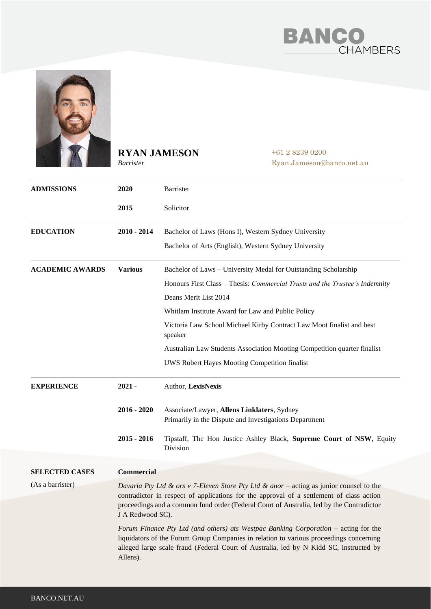



# **RYAN JAMESON**

*Barrister*

+61 2 8239 0200 Ryan.Jameson@banco.net.au

| <b>ADMISSIONS</b>      | 2020                                                                                                                                                                                                                                                                                | Barrister                                                                                             |
|------------------------|-------------------------------------------------------------------------------------------------------------------------------------------------------------------------------------------------------------------------------------------------------------------------------------|-------------------------------------------------------------------------------------------------------|
|                        | 2015                                                                                                                                                                                                                                                                                | Solicitor                                                                                             |
| <b>EDUCATION</b>       | $2010 - 2014$                                                                                                                                                                                                                                                                       | Bachelor of Laws (Hons I), Western Sydney University                                                  |
|                        |                                                                                                                                                                                                                                                                                     | Bachelor of Arts (English), Western Sydney University                                                 |
| <b>ACADEMIC AWARDS</b> | <b>Various</b>                                                                                                                                                                                                                                                                      | Bachelor of Laws - University Medal for Outstanding Scholarship                                       |
|                        |                                                                                                                                                                                                                                                                                     | Honours First Class - Thesis: Commercial Trusts and the Trustee's Indemnity                           |
|                        |                                                                                                                                                                                                                                                                                     | Deans Merit List 2014                                                                                 |
|                        |                                                                                                                                                                                                                                                                                     | Whitlam Institute Award for Law and Public Policy                                                     |
|                        |                                                                                                                                                                                                                                                                                     | Victoria Law School Michael Kirby Contract Law Moot finalist and best<br>speaker                      |
|                        |                                                                                                                                                                                                                                                                                     | Australian Law Students Association Mooting Competition quarter finalist                              |
|                        |                                                                                                                                                                                                                                                                                     | UWS Robert Hayes Mooting Competition finalist                                                         |
| <b>EXPERIENCE</b>      | $2021 -$                                                                                                                                                                                                                                                                            | Author, LexisNexis                                                                                    |
|                        | $2016 - 2020$                                                                                                                                                                                                                                                                       | Associate/Lawyer, Allens Linklaters, Sydney<br>Primarily in the Dispute and Investigations Department |
|                        | $2015 - 2016$                                                                                                                                                                                                                                                                       | Tipstaff, The Hon Justice Ashley Black, Supreme Court of NSW, Equity<br>Division                      |
| <b>SELECTED CASES</b>  | <b>Commercial</b>                                                                                                                                                                                                                                                                   |                                                                                                       |
| (As a barrister)       | Davaria Pty Ltd & ors v 7-Eleven Store Pty Ltd & anor – acting as junior counsel to the                                                                                                                                                                                             |                                                                                                       |
|                        | contradictor in respect of applications for the approval of a settlement of class action<br>proceedings and a common fund order (Federal Court of Australia, led by the Contradictor<br>J A Redwood SC).                                                                            |                                                                                                       |
|                        | Forum Finance Pty Ltd (and others) ats Westpac Banking Corporation – acting for the<br>liquidators of the Forum Group Companies in relation to various proceedings concerning<br>alleged large scale fraud (Federal Court of Australia, led by N Kidd SC, instructed by<br>Allens). |                                                                                                       |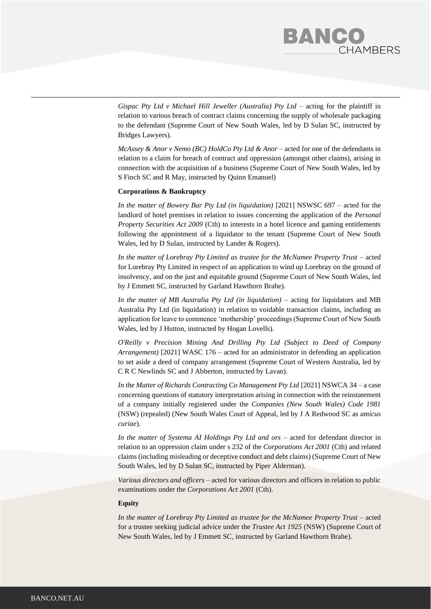# BANC **HAMBERS**

*Gispac Pty Ltd v Michael Hill Jeweller (Australia) Pty Ltd – acting for the plaintiff in* relation to various breach of contract claims concerning the supply of wholesale packaging to the defendant (Supreme Court of New South Wales, led by D Sulan SC, instructed by Bridges Lawyers).

*McAssey & Anor v Nemo (BC) HoldCo Pty Ltd & Anor* – acted for one of the defendants in relation to a claim for breach of contract and oppression (amongst other claims), arising in connection with the acquisition of a business (Supreme Court of New South Wales, led by S Finch SC and R May, instructed by Quinn Emanuel)

### **Corporations & Bankruptcy**

*In the matter of Bowery Bar Pty Ltd (in liquidation)* [2021] NSWSC 697 – acted for the landlord of hotel premises in relation to issues concerning the application of the *Personal Property Securities Act 2009* (Cth) to interests in a hotel licence and gaming entitlements following the appointment of a liquidator to the tenant (Supreme Court of New South Wales, led by D Sulan, instructed by Lander & Rogers).

In the matter of Lorebray Pty Limited as trustee for the McNamee Property Trust – acted for Lorebray Pty Limited in respect of an application to wind up Lorebray on the ground of insolvency, and on the just and equitable ground (Supreme Court of New South Wales, led by J Emmett SC, instructed by Garland Hawthorn Brahe).

*In the matter of MB Australia Pty Ltd (in liquidation)* – acting for liquidators and MB Australia Pty Ltd (in liquidation) in relation to voidable transaction claims, including an application for leave to commence 'mothership' proceedings (Supreme Court of New South Wales, led by J Hutton, instructed by Hogan Lovells).

*O'Reilly v Precision Mining And Drilling Pty Ltd (Subject to Deed of Company Arrangement)* [2021] WASC 176 – acted for an administrator in defending an application to set aside a deed of company arrangement (Supreme Court of Western Australia, led by C R C Newlinds SC and J Abberton, instructed by Lavan).

*In the Matter of Richards Contracting Co Management Pty Ltd* [2021] NSWCA 34 – a case concerning questions of statutory interpretation arising in connection with the reinstatement of a company initially registered under the *Companies (New South Wales) Code 1981* (NSW) (repealed) (New South Wales Court of Appeal, led by J A Redwood SC as *amicus curiae*).

*In the matter of Systema AI Holdings Pty Ltd and ors* – acted for defendant director in relation to an oppression claim under s 232 of the *Corporations Act 2001* (Cth) and related claims (including misleading or deceptive conduct and debt claims) (Supreme Court of New South Wales, led by D Sulan SC, instructed by Piper Alderman).

*Various directors and officers –* acted for various directors and officers in relation to public examinations under the *Corporations Act 2001* (Cth).

#### **Equity**

In the matter of Lorebray Pty Limited as trustee for the McNamee Property Trust – acted for a trustee seeking judicial advice under the *Trustee Act 1925* (NSW) (Supreme Court of New South Wales, led by J Emmett SC, instructed by Garland Hawthorn Brahe).